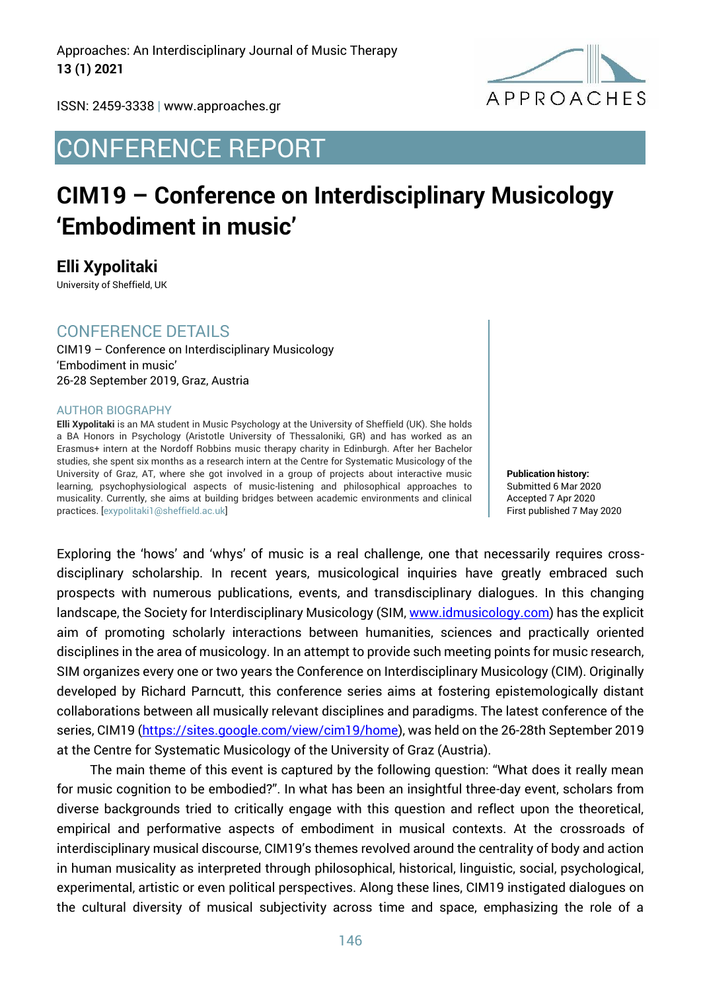Approaches: An Interdisciplinary Journal of Music Therapy **13 (1) 2021**



ISSN: 2459-3338 | www.approaches.gr

# CONFERENCE REPORT

# **CIM19 – Conference on Interdisciplinary Musicology 'Embodiment in music'**

**Elli Xypolitaki** 

University of Sheffield, UK

#### CONFERENCE DETAILS

CIM19 – Conference on Interdisciplinary Musicology 'Embodiment in music' 26-28 September 2019, Graz, Austria

#### AUTHOR BIOGRAPHY

**Elli Xypolitaki** is an MA student in Music Psychology at the University of Sheffield (UK). She holds a BA Honors in Psychology (Aristotle University of Thessaloniki, GR) and has worked as an Erasmus+ intern at the Nordoff Robbins music therapy charity in Edinburgh. After her Bachelor studies, she spent six months as a research intern at the Centre for Systematic Musicology of the University of Graz, AT, where she got involved in a group of projects about interactive music learning, psychophysiological aspects of music-listening and philosophical approaches to musicality. Currently, she aims at building bridges between academic environments and clinical practices. [exypolitaki1@sheffield.ac.uk]

**Publication history:**  Submitted 6 Mar 2020 Accepted 7 Apr 2020 First published 7 May 2020

Exploring the 'hows' and 'whys' of music is a real challenge, one that necessarily requires crossdisciplinary scholarship. In recent years, musicological inquiries have greatly embraced such prospects with numerous publications, events, and transdisciplinary dialogues. In this changing landscape, the Society for Interdisciplinary Musicology (SIM[, www.idmusicology.com\)](http://www.idmusicology.com/) has the explicit aim of promoting scholarly interactions between humanities, sciences and practically oriented disciplines in the area of musicology. In an attempt to provide such meeting points for music research, SIM organizes every one or two years the Conference on Interdisciplinary Musicology (CIM). Originally developed by Richard Parncutt, this conference series aims at fostering epistemologically distant collaborations between all musically relevant disciplines and paradigms. The latest conference of the series, CIM19 [\(https://sites.google.com/view/cim19/home\)](https://sites.google.com/view/cim19/home), was held on the 26-28th September 2019 at the Centre for Systematic Musicology of the University of Graz (Austria).

The main theme of this event is captured by the following question: "What does it really mean for music cognition to be embodied?". In what has been an insightful three-day event, scholars from diverse backgrounds tried to critically engage with this question and reflect upon the theoretical, empirical and performative aspects of embodiment in musical contexts. At the crossroads of interdisciplinary musical discourse, CIM19's themes revolved around the centrality of body and action in human musicality as interpreted through philosophical, historical, linguistic, social, psychological, experimental, artistic or even political perspectives. Along these lines, CIM19 instigated dialogues on the cultural diversity of musical subjectivity across time and space, emphasizing the role of a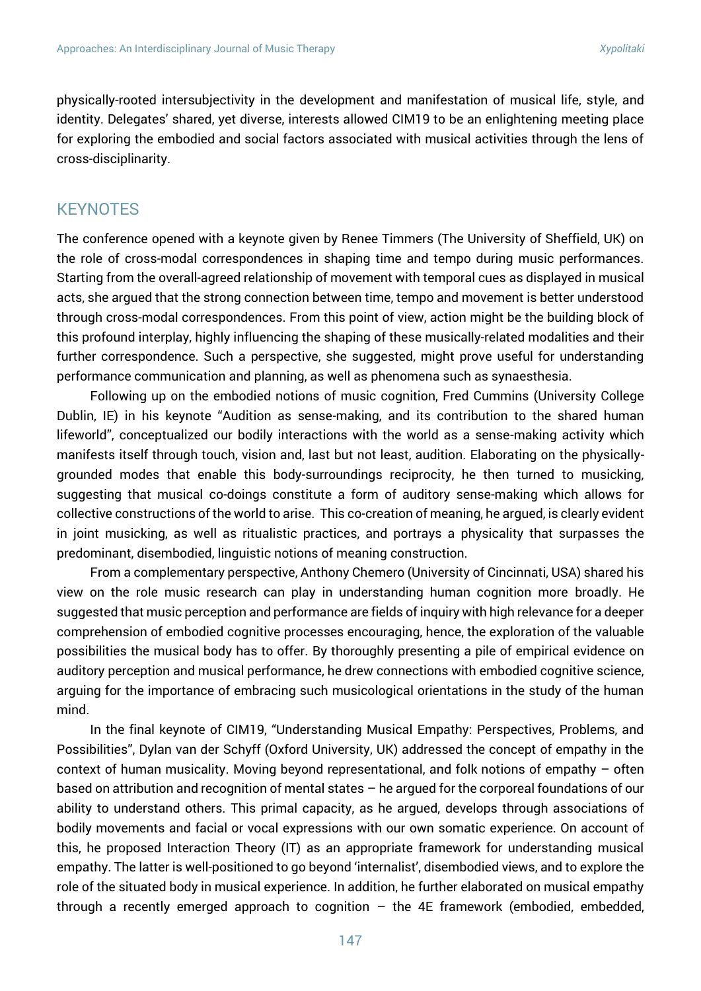physically-rooted intersubjectivity in the development and manifestation of musical life, style, and identity. Delegates' shared, yet diverse, interests allowed CIM19 to be an enlightening meeting place for exploring the embodied and social factors associated with musical activities through the lens of cross-disciplinarity.

#### **KEYNOTES**

The conference opened with a keynote given by Renee Timmers (The University of Sheffield, UK) on the role of cross-modal correspondences in shaping time and tempo during music performances. Starting from the overall-agreed relationship of movement with temporal cues as displayed in musical acts, she argued that the strong connection between time, tempo and movement is better understood through cross-modal correspondences. From this point of view, action might be the building block of this profound interplay, highly influencing the shaping of these musically-related modalities and their further correspondence. Such a perspective, she suggested, might prove useful for understanding performance communication and planning, as well as phenomena such as synaesthesia.

Following up on the embodied notions of music cognition, Fred Cummins (University College Dublin, IE) in his keynote "Audition as sense-making, and its contribution to the shared human lifeworld", conceptualized our bodily interactions with the world as a sense-making activity which manifests itself through touch, vision and, last but not least, audition. Elaborating on the physicallygrounded modes that enable this body-surroundings reciprocity, he then turned to musicking, suggesting that musical co-doings constitute a form of auditory sense-making which allows for collective constructions of the world to arise. This co-creation of meaning, he argued, is clearly evident in joint musicking, as well as ritualistic practices, and portrays a physicality that surpasses the predominant, disembodied, linguistic notions of meaning construction.

From a complementary perspective, Anthony Chemero (University of Cincinnati, USA) shared his view on the role music research can play in understanding human cognition more broadly. He suggested that music perception and performance are fields of inquiry with high relevance for a deeper comprehension of embodied cognitive processes encouraging, hence, the exploration of the valuable possibilities the musical body has to offer. By thoroughly presenting a pile of empirical evidence on auditory perception and musical performance, he drew connections with embodied cognitive science, arguing for the importance of embracing such musicological orientations in the study of the human mind.

In the final keynote of CIM19, "Understanding Musical Empathy: Perspectives, Problems, and Possibilities", Dylan van der Schyff (Oxford University, UK) addressed the concept of empathy in the context of human musicality. Moving beyond representational, and folk notions of empathy – often based on attribution and recognition of mental states – he argued for the corporeal foundations of our ability to understand others. This primal capacity, as he argued, develops through associations of bodily movements and facial or vocal expressions with our own somatic experience. On account of this, he proposed Interaction Theory (IT) as an appropriate framework for understanding musical empathy. The latter is well-positioned to go beyond 'internalist', disembodied views, and to explore the role of the situated body in musical experience. In addition, he further elaborated on musical empathy through a recently emerged approach to cognition  $-$  the 4E framework (embodied, embedded,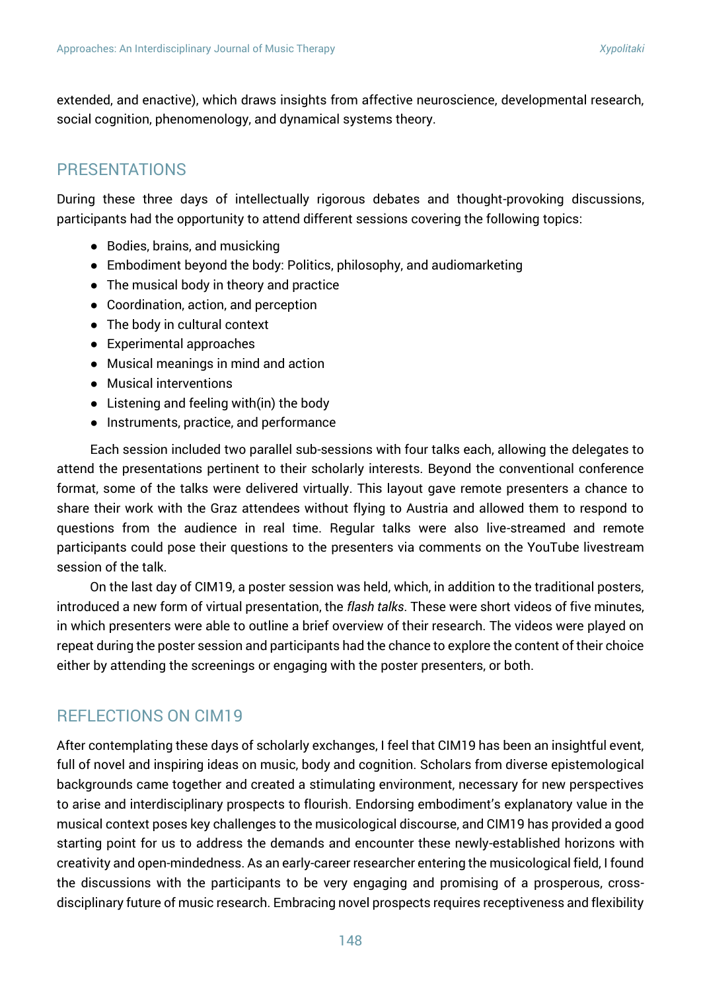extended, and enactive), which draws insights from affective neuroscience, developmental research, social cognition, phenomenology, and dynamical systems theory.

## PRESENTATIONS

During these three days of intellectually rigorous debates and thought-provoking discussions, participants had the opportunity to attend different sessions covering the following topics:

- Bodies, brains, and musicking
- Embodiment beyond the body: Politics, philosophy, and audiomarketing
- The musical body in theory and practice
- Coordination, action, and perception
- The body in cultural context
- Experimental approaches
- Musical meanings in mind and action
- Musical interventions
- $\bullet$  Listening and feeling with(in) the body
- Instruments, practice, and performance

Each session included two parallel sub-sessions with four talks each, allowing the delegates to attend the presentations pertinent to their scholarly interests. Beyond the conventional conference format, some of the talks were delivered virtually. This layout gave remote presenters a chance to share their work with the Graz attendees without flying to Austria and allowed them to respond to questions from the audience in real time. Regular talks were also live-streamed and remote participants could pose their questions to the presenters via comments on the YouTube livestream session of the talk.

On the last day of CIM19, a poster session was held, which, in addition to the traditional posters, introduced a new form of virtual presentation, the *flash talks*. These were short videos of five minutes, in which presenters were able to outline a brief overview of their research. The videos were played on repeat during the poster session and participants had the chance to explore the content of their choice either by attending the screenings or engaging with the poster presenters, or both.

### REFLECTIONS ON CIM19

After contemplating these days of scholarly exchanges, I feel that CIM19 has been an insightful event, full of novel and inspiring ideas on music, body and cognition. Scholars from diverse epistemological backgrounds came together and created a stimulating environment, necessary for new perspectives to arise and interdisciplinary prospects to flourish. Endorsing embodiment's explanatory value in the musical context poses key challenges to the musicological discourse, and CIM19 has provided a good starting point for us to address the demands and encounter these newly-established horizons with creativity and open-mindedness. As an early-career researcher entering the musicological field, I found the discussions with the participants to be very engaging and promising of a prosperous, crossdisciplinary future of music research. Embracing novel prospects requires receptiveness and flexibility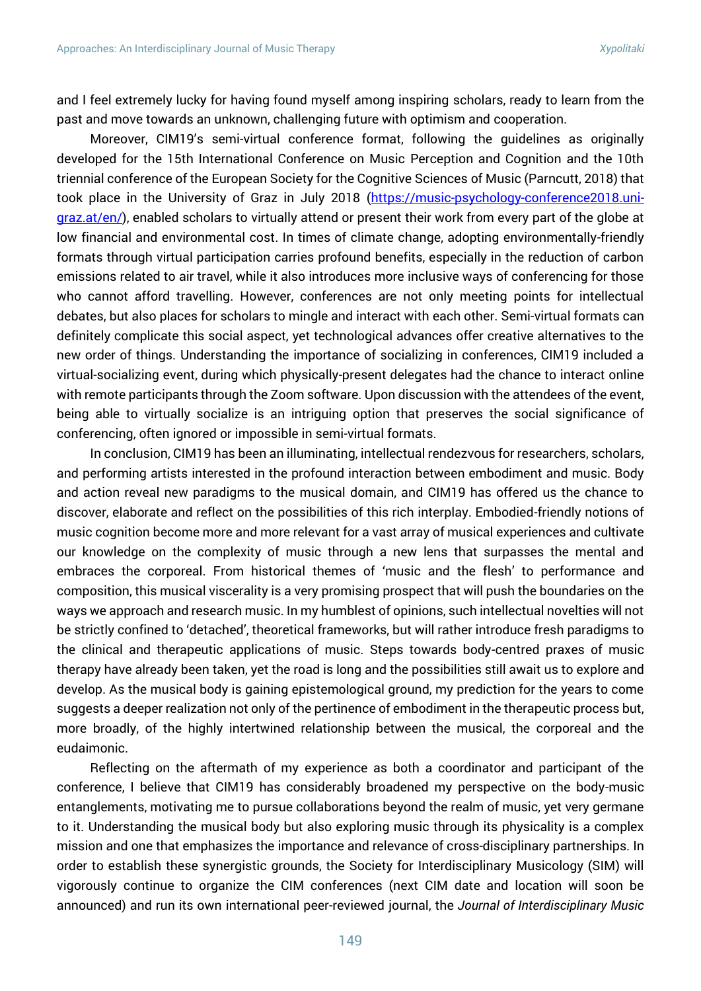and I feel extremely lucky for having found myself among inspiring scholars, ready to learn from the past and move towards an unknown, challenging future with optimism and cooperation.

Moreover, CIM19's semi-virtual conference format, following the guidelines as originally developed for the 15th International Conference on Music Perception and Cognition and the 10th triennial conference of the European Society for the Cognitive Sciences of Music (Parncutt, 2018) that took place in the University of Graz in July 2018 [\(https://music-psychology-conference2018.uni](https://music-psychology-conference2018.uni-graz.at/en/)[graz.at/en/\)](https://music-psychology-conference2018.uni-graz.at/en/), enabled scholars to virtually attend or present their work from every part of the globe at low financial and environmental cost. In times of climate change, adopting environmentally-friendly formats through virtual participation carries profound benefits, especially in the reduction of carbon emissions related to air travel, while it also introduces more inclusive ways of conferencing for those who cannot afford travelling. However, conferences are not only meeting points for intellectual debates, but also places for scholars to mingle and interact with each other. Semi-virtual formats can definitely complicate this social aspect, yet technological advances offer creative alternatives to the new order of things. Understanding the importance of socializing in conferences, CIM19 included a virtual-socializing event, during which physically-present delegates had the chance to interact online with remote participants through the Zoom software. Upon discussion with the attendees of the event, being able to virtually socialize is an intriguing option that preserves the social significance of conferencing, often ignored or impossible in semi-virtual formats.

In conclusion, CIM19 has been an illuminating, intellectual rendezvous for researchers, scholars, and performing artists interested in the profound interaction between embodiment and music. Body and action reveal new paradigms to the musical domain, and CIM19 has offered us the chance to discover, elaborate and reflect on the possibilities of this rich interplay. Embodied-friendly notions of music cognition become more and more relevant for a vast array of musical experiences and cultivate our knowledge on the complexity of music through a new lens that surpasses the mental and embraces the corporeal. From historical themes of 'music and the flesh' to performance and composition, this musical viscerality is a very promising prospect that will push the boundaries on the ways we approach and research music. In my humblest of opinions, such intellectual novelties will not be strictly confined to 'detached', theoretical frameworks, but will rather introduce fresh paradigms to the clinical and therapeutic applications of music. Steps towards body-centred praxes of music therapy have already been taken, yet the road is long and the possibilities still await us to explore and develop. As the musical body is gaining epistemological ground, my prediction for the years to come suggests a deeper realization not only of the pertinence of embodiment in the therapeutic process but, more broadly, of the highly intertwined relationship between the musical, the corporeal and the eudaimonic.

Reflecting on the aftermath of my experience as both a coordinator and participant of the conference, I believe that CIM19 has considerably broadened my perspective on the body-music entanglements, motivating me to pursue collaborations beyond the realm of music, yet very germane to it. Understanding the musical body but also exploring music through its physicality is a complex mission and one that emphasizes the importance and relevance of cross-disciplinary partnerships. In order to establish these synergistic grounds, the Society for Interdisciplinary Musicology (SIM) will vigorously continue to organize the CIM conferences (next CIM date and location will soon be announced) and run its own international peer-reviewed journal, the *Journal of Interdisciplinary Music*